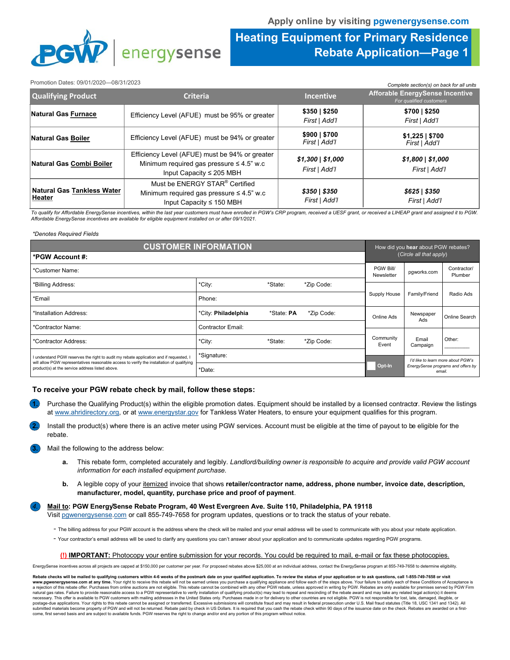

## **Heating Equipment for Primary Residence Rebate Application—Page 1**

#### Promotion Dates: 09/01/2020—08/31/2023

| Promotion Dates: 09/01/2020-08/31/2023      |                                                                                                                                   |                                       | Complete section(s) on back for all units                         |
|---------------------------------------------|-----------------------------------------------------------------------------------------------------------------------------------|---------------------------------------|-------------------------------------------------------------------|
| <b>Qualifying Product</b>                   | <b>Criteria</b>                                                                                                                   | <b>Incentive</b>                      | <b>Afforable EnergySense Incentive</b><br>For qualified customers |
| Natural Gas Furnace                         | Efficiency Level (AFUE) must be 95% or greater                                                                                    | \$350 \$250<br>First   Add'l          | \$700   \$250<br>First   Add'l                                    |
| Natural Gas Boiler                          | Efficiency Level (AFUE) must be 94% or greater                                                                                    | \$900   \$700<br>First   Add'l        | \$1,225   \$700<br>First   Add'l                                  |
| Natural Gas Combi Boiler                    | Efficiency Level (AFUE) must be 94% or greater<br>Minimum required gas pressure $\leq 4.5$ " w.c<br>Input Capacity $\leq$ 205 MBH | $$1,300 \mid $1,000$<br>First   Add'l | $$1,800 \mid $1,000$<br>First   Add'l                             |
| <b>Natural Gas Tankless Water</b><br>Heater | Must be ENERGY STAR® Certified<br>Minimum required gas pressure $\leq 4.5$ " w.c<br>Input Capacity $\leq$ 150 MBH                 | $$350 \mid $350$<br>First   Add'l     | \$625   \$350<br>First   Add'l                                    |

To qualify for Affordable EnergySense incentives, within the last year customers must have enrolled in PGW's CRP program, received a UESF grant, or received a LIHEAP grant and assigned it to PGW. *Affordable EnergySense incentives are available for eligible equipment installed on or after 09/1/2021.*

#### *\*Denotes Required Fields*

| <b>CUSTOMER INFORMATION</b>                                                                                                                  |                          |            |                         |                         | How did you hear about PGW rebates? |                                    |  |
|----------------------------------------------------------------------------------------------------------------------------------------------|--------------------------|------------|-------------------------|-------------------------|-------------------------------------|------------------------------------|--|
| *PGW Account #:                                                                                                                              |                          |            |                         | (Circle all that apply) |                                     |                                    |  |
| *Customer Name:                                                                                                                              |                          |            | PGW Bill/<br>Newsletter | pgworks.com             | Contractor/<br>Plumber              |                                    |  |
| *Billing Address:                                                                                                                            | *City:                   | *State:    | *Zip Code:              |                         |                                     |                                    |  |
| *Email                                                                                                                                       | Phone:                   |            |                         | Supply House            | Family/Friend                       | Radio Ads                          |  |
| *Installation Address:                                                                                                                       | *City: Philadelphia      | *State: PA | *Zip Code:              | Online Ads              | Newspaper<br>Ads                    | Online Search                      |  |
| *Contractor Name:                                                                                                                            | <b>Contractor Email:</b> |            |                         |                         |                                     |                                    |  |
| *Contractor Address:                                                                                                                         | *City:                   | *State:    | *Zip Code:              | Community<br>Event      | Email<br>Campaign                   | Other:                             |  |
| I understand PGW reserves the right to audit my rebate application and if requested, I                                                       | *Signature:              |            |                         |                         |                                     | I'd like to learn more about PGW's |  |
| will allow PGW representatives reasonable access to verify the installation of qualifying<br>product(s) at the service address listed above. | *Date:                   |            |                         | Opt-In                  | email.                              | EnergySense programs and offers by |  |

## **To receive your PGW rebate check by mail, follow these steps:**

- **1.** Purchase the Qualifying Product(s) within the eligible promotion dates. Equipment should be installed by a licensed contractor. Review the listings at www.ahridirectory.org, or at www.energystar.gov for Tankless Water Heaters, to ensure your equipment qualifies for this program.
- **2.** Install the product(s) where there is an active meter using PGW services. Account must be eligible at the time of payout to be eligible for the rebate.

**3.** Mail the following to the address below:

- **a.** This rebate form, completed accurately and legibly. *Landlord/building owner is responsible to acquire and provide valid PGW account information for each installed equipment purchase.*
- **b.** A legible copy of your itemized invoice that shows **retailer/contractor name, address, phone number, invoice date, description, manufacturer, model, quantity, purchase price and proof of payment**.

*4.* **Mail to: PGW EnergySense Rebate Program, 40 West Evergreen Ave. Suite 110, Philadelphia, PA 19118**

Visit pgwenergysense.com or call 855-749-7658 for program updates, questions or to track the status of your rebate.

- The billing address for your PGW account is the address where the check will be mailed and your email address will be used to communicate with you about your rebate application.

- Your contractor's email address will be used to clarify any questions you can't answer about your application and to communicate updates regarding PGW programs.

### **(!) IMPORTANT:** Photocopy your entire submission for your records. You could be required to mail, e-mail or fax these photocopies.

EnergySense incentives across all projects are capped at \$150,000 per customer per year. For proposed rebates above \$25,000 at an individual address, contact the EnergySense program at 855-749-7658 to determine eligibility

**Rebate checks will be mailed to qualifying customers within 4-6 weeks of the postmark date on your qualified application. To review the status of your application or to ask questions, call 1-855-749-7658 or visit**  www.pgwenergysense.com at any time. Your right to receive this rebate will not be earned unless you purchase a qualifying appliance and follow each of the steps above. Your failure to satisfy each of these Conditions of Ac natural gas rates. Failure to provide reasonable access to a PGW representative to verify installation of qualifying product(s) may lead to repeal and rescinding of the rebate award and may take any related legal action(s) postage-due applications. Your rights to this rebate cannot be assigned or transferred. Excessive submissions will constitute fraud and may result in federal prosecution under U.S. Mail fraud statutes (Title 18, USC 1341 a submitted materials become property of PGW and will not be returned. Rebate paid by check in US Dollars. It is required that you cash the rebate check within 90 days of the issuance date on the check. Rebates are awarded o come, first served basis and are subject to available funds. PGW reserves the right to change and/or end any portion of this program without notice.